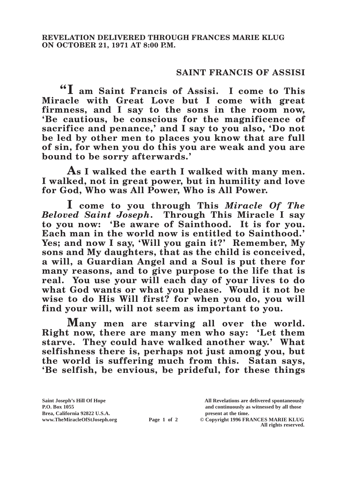## **SAINT FRANCIS OF ASSISI**

**"I am Saint Francis of Assisi. I come to This Miracle with Great Love but I come with great**  firmness, and I say to the sons in the room now, **'Be cautious, be conscious for the magnificence of sacrifice and penance,' and I say to you also, 'Do not be led by other men to places you know that are full of sin, for when you do this you are weak and you are bound to be sorry afterwards.'**

**As I walked the earth I walked with many men. I walked, not in great power, but in humility and love for God, Who was All Power, Who is All Power.**

**I come to you through This** *Miracle Of The Beloved Saint Joseph***. Through This Miracle I say to you now: 'Be aware of Sainthood. It is for you. Each man in the world now is entitled to Sainthood.' Yes; and now I say, 'Will you gain it?' Remember, My sons and My daughters, that as the child is conceived, a will, a Guardian Angel and a Soul is put there for many reasons, and to give purpose to the life that is real. You use your will each day of your lives to do what God wants or what you please. Would it not be wise to do His Will first? for when you do, you will find your will, will not seem as important to you.**

**Many men are starving all over the world. Right now, there are many men who say: 'Let them starve. They could have walked another way.' What selfishness there is, perhaps not just among you, but the world is suffering much from this. Satan says, 'Be selfish, be envious, be prideful, for these things** 

**Brea, California 92822 U.S.A. present at the time.**<br> **Page 1 of 2** © Copyright 1996 FR.

**Saint Joseph's Hill Of Hope All Revelations are delivered spontaneously P.O. Box 1055 and continuously as witnessed by all those** 

**Page 1 of 2** © Copyright 1996 FRANCES MARIE KLUG **All rights reserved.**